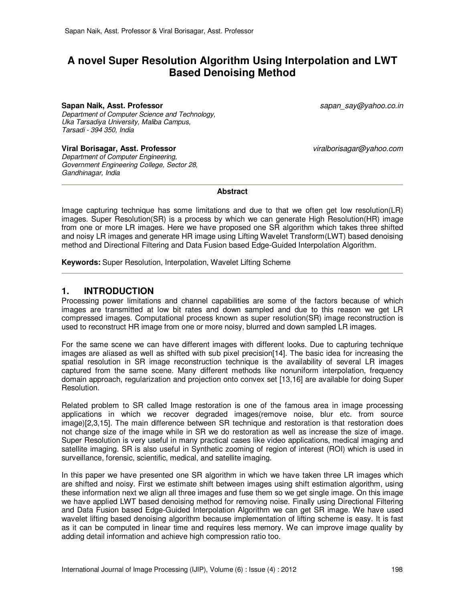# **A novel Super Resolution Algorithm Using Interpolation and LWT Based Denoising Method**

#### **Sapan Naik, Asst. Professor** sapan\_say@yahoo.co.in

Department of Computer Science and Technology, Uka Tarsadiya University, Maliba Campus, Tarsadi - 394 350, India

**Viral Borisagar, Asst. Professor** viralborisagar@yahoo.com

Department of Computer Engineering, Government Engineering College, Sector 28, Gandhinagar, India

**Abstract** 

Image capturing technique has some limitations and due to that we often get low resolution(LR) images. Super Resolution(SR) is a process by which we can generate High Resolution(HR) image from one or more LR images. Here we have proposed one SR algorithm which takes three shifted and noisy LR images and generate HR image using Lifting Wavelet Transform(LWT) based denoising method and Directional Filtering and Data Fusion based Edge-Guided Interpolation Algorithm.

**Keywords:** Super Resolution, Interpolation, Wavelet Lifting Scheme

### **1. INTRODUCTION**

Processing power limitations and channel capabilities are some of the factors because of which images are transmitted at low bit rates and down sampled and due to this reason we get LR compressed images. Computational process known as super resolution(SR) image reconstruction is used to reconstruct HR image from one or more noisy, blurred and down sampled LR images.

For the same scene we can have different images with different looks. Due to capturing technique images are aliased as well as shifted with sub pixel precision[14]. The basic idea for increasing the spatial resolution in SR image reconstruction technique is the availability of several LR images captured from the same scene. Many different methods like nonuniform interpolation, frequency domain approach, regularization and projection onto convex set [13,16] are available for doing Super Resolution.

Related problem to SR called Image restoration is one of the famous area in image processing applications in which we recover degraded images(remove noise, blur etc. from source image)[2,3,15]. The main difference between SR technique and restoration is that restoration does not change size of the image while in SR we do restoration as well as increase the size of image. Super Resolution is very useful in many practical cases like video applications, medical imaging and satellite imaging. SR is also useful in Synthetic zooming of region of interest (ROI) which is used in surveillance, forensic, scientific, medical, and satellite imaging.

In this paper we have presented one SR algorithm in which we have taken three LR images which are shifted and noisy. First we estimate shift between images using shift estimation algorithm, using these information next we align all three images and fuse them so we get single image. On this image we have applied LWT based denoising method for removing noise. Finally using Directional Filtering and Data Fusion based Edge-Guided Interpolation Algorithm we can get SR image. We have used wavelet lifting based denoising algorithm because implementation of lifting scheme is easy. It is fast as it can be computed in linear time and requires less memory. We can improve image quality by adding detail information and achieve high compression ratio too.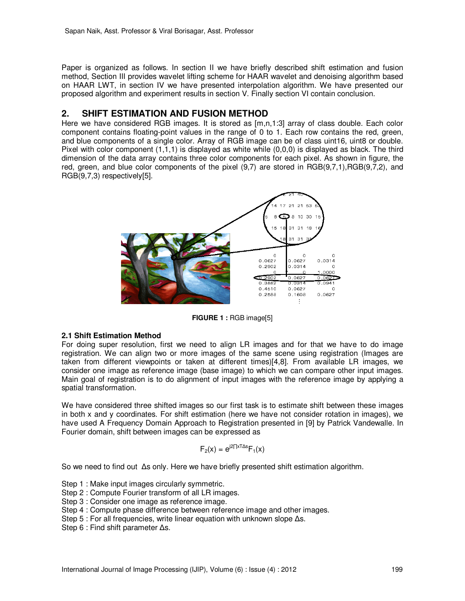Paper is organized as follows. In section II we have briefly described shift estimation and fusion method, Section III provides wavelet lifting scheme for HAAR wavelet and denoising algorithm based on HAAR LWT, in section IV we have presented interpolation algorithm. We have presented our proposed algorithm and experiment results in section V. Finally section VI contain conclusion.

# **2. SHIFT ESTIMATION AND FUSION METHOD**

Here we have considered RGB images. It is stored as [m,n,1:3] array of class double. Each color component contains floating-point values in the range of 0 to 1. Each row contains the red, green, and blue components of a single color. Array of RGB image can be of class uint16, uint8 or double. Pixel with color component (1,1,1) is displayed as white while (0,0,0) is displayed as black. The third dimension of the data array contains three color components for each pixel. As shown in figure, the red, green, and blue color components of the pixel (9,7) are stored in RGB(9,7,1),RGB(9,7,2), and RGB(9,7,3) respectively[5].



**FIGURE 1 :** RGB image[5]

### **2.1 Shift Estimation Method**

For doing super resolution, first we need to align LR images and for that we have to do image registration. We can align two or more images of the same scene using registration (Images are taken from different viewpoints or taken at different times)[4,8]. From available LR images, we consider one image as reference image (base image) to which we can compare other input images. Main goal of registration is to do alignment of input images with the reference image by applying a spatial transformation.

We have considered three shifted images so our first task is to estimate shift between these images in both x and y coordinates. For shift estimation (here we have not consider rotation in images), we have used A Frequency Domain Approach to Registration presented in [9] by Patrick Vandewalle. In Fourier domain, shift between images can be expressed as

$$
F_2(x) = e^{j2\prod x \text{ s}} F_1(x)
$$

So we need to find out ∆s only. Here we have briefly presented shift estimation algorithm.

Step 1 : Make input images circularly symmetric.

- Step 2 : Compute Fourier transform of all LR images.
- Step 3 : Consider one image as reference image.
- Step 4 : Compute phase difference between reference image and other images.
- Step 5 : For all frequencies, write linear equation with unknown slope Δs.

Step 6 : Find shift parameter ∆s.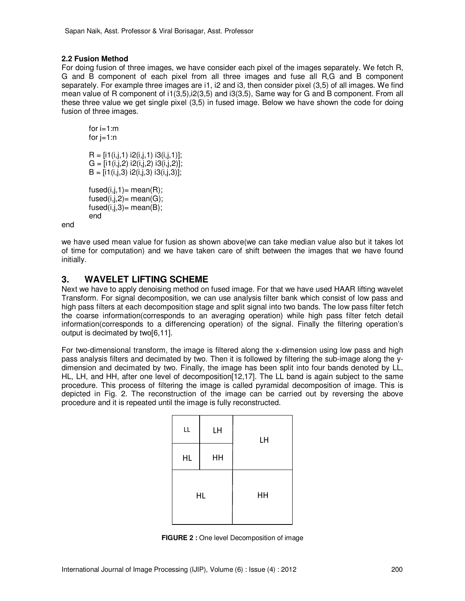### **2.2 Fusion Method**

For doing fusion of three images, we have consider each pixel of the images separately. We fetch R, G and B component of each pixel from all three images and fuse all R,G and B component separately. For example three images are i1, i2 and i3, then consider pixel (3,5) of all images. We find mean value of R component of i1(3,5),i2(3,5) and i3(3,5), Same way for G and B component. From all these three value we get single pixel (3,5) in fused image. Below we have shown the code for doing fusion of three images.

for  $i=1:m$ for  $j=1:n$  $R = [i1(i,j,1) i2(i,j,1) i3(i,j,1)]$ ;  $G = [i1(i,j,2) i2(i,j,2) i3(i,j,2)]$ ;  $B = [i1(i,j,3) i2(i,j,3) i3(i,j,3)]$ ;  $fused(i,j,1)= mean(R);$  $fused(i,j,2)=mean(G);$  $fused(i,j,3)= mean(B);$ end

end

we have used mean value for fusion as shown above(we can take median value also but it takes lot of time for computation) and we have taken care of shift between the images that we have found initially.

## **3. WAVELET LIFTING SCHEME**

Next we have to apply denoising method on fused image. For that we have used HAAR lifting wavelet Transform. For signal decomposition, we can use analysis filter bank which consist of low pass and high pass filters at each decomposition stage and split signal into two bands. The low pass filter fetch the coarse information(corresponds to an averaging operation) while high pass filter fetch detail information(corresponds to a differencing operation) of the signal. Finally the filtering operation's output is decimated by two[6,11].

For two-dimensional transform, the image is filtered along the x-dimension using low pass and high pass analysis filters and decimated by two. Then it is followed by filtering the sub-image along the ydimension and decimated by two. Finally, the image has been split into four bands denoted by LL, HL, LH, and HH, after one level of decomposition[12,17]. The LL band is again subject to the same procedure. This process of filtering the image is called pyramidal decomposition of image. This is depicted in Fig. 2. The reconstruction of the image can be carried out by reversing the above procedure and it is repeated until the image is fully reconstructed.

| LL        | LH | LH |
|-----------|----|----|
| HL        | HH |    |
| <b>HL</b> |    | HH |

**FIGURE 2 :** One level Decomposition of image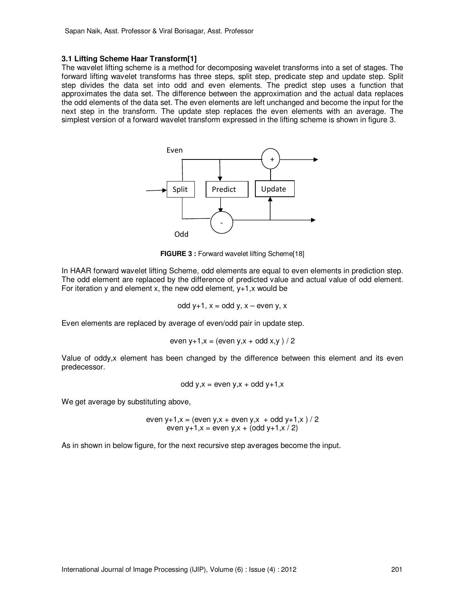#### **3.1 Lifting Scheme Haar Transform[1]**

The wavelet lifting scheme is a method for decomposing wavelet transforms into a set of stages. The forward lifting wavelet transforms has three steps, split step, predicate step and update step. Split step divides the data set into odd and even elements. The predict step uses a function that approximates the data set. The difference between the approximation and the actual data replaces the odd elements of the data set. The even elements are left unchanged and become the input for the next step in the transform. The update step replaces the even elements with an average. The simplest version of a forward wavelet transform expressed in the lifting scheme is shown in figure 3.



**FIGURE 3 : Forward wavelet lifting Scheme[18]** 

In HAAR forward wavelet lifting Scheme, odd elements are equal to even elements in prediction step. The odd element are replaced by the difference of predicted value and actual value of odd element. For iteration  $y$  and element x, the new odd element,  $y+1$ , x would be

odd 
$$
y+1
$$
,  $x =$  odd  $y$ ,  $x -$  even  $y$ ,  $x$ 

Even elements are replaced by average of even/odd pair in update step.

even y+1,x = (even y,x + odd x,y ) / 2

Value of oddy,x element has been changed by the difference between this element and its even predecessor.

odd y,x = even y,x + odd y+1,x

We get average by substituting above,

even y+1,x = (even y,x + even y,x + odd y+1,x ) / 2 even y+1,x = even y,x + (odd y+1,x / 2)

As in shown in below figure, for the next recursive step averages become the input.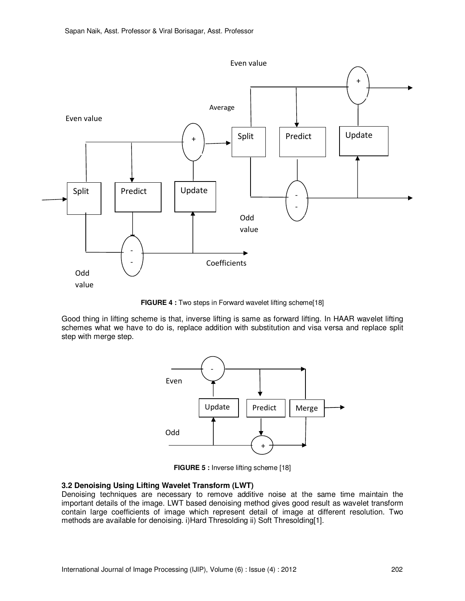

**FIGURE 4 :** Two steps in Forward wavelet lifting scheme[18]

Good thing in lifting scheme is that, inverse lifting is same as forward lifting. In HAAR wavelet lifting schemes what we have to do is, replace addition with substitution and visa versa and replace split step with merge step.



**FIGURE 5 : Inverse lifting scheme [18]** 

#### **3.2 Denoising Using Lifting Wavelet Transform (LWT)**

Denoising techniques are necessary to remove additive noise at the same time maintain the important details of the image. LWT based denoising method gives good result as wavelet transform contain large coefficients of image which represent detail of image at different resolution. Two methods are available for denoising. i)Hard Thresolding ii) Soft Thresolding[1].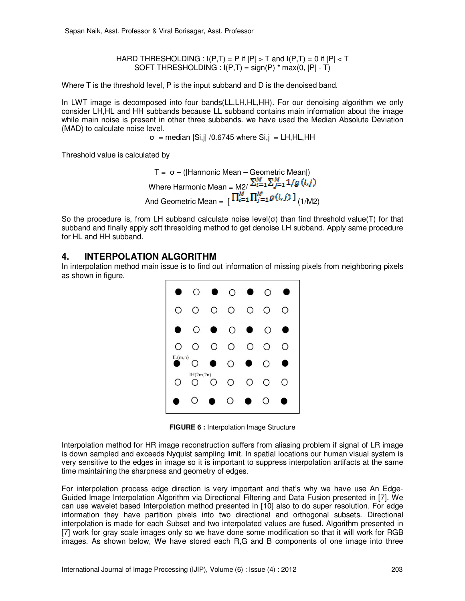HARD THRESHOLDING :  $I(P,T) = P$  if  $|P| > T$  and  $I(P,T) = 0$  if  $|P| < T$ SOFT THRESHOLDING :  $I(P,T) = sign(P) * max(0, |P| - T)$ 

Where T is the threshold level, P is the input subband and D is the denoised band.

In LWT image is decomposed into four bands(LL,LH,HL,HH). For our denoising algorithm we only consider LH,HL and HH subbands because LL subband contains main information about the image while main noise is present in other three subbands. we have used the Median Absolute Deviation (MAD) to calculate noise level.

 $\sigma$  = median  $|Si,j|$  /0.6745 where  $Si,j$  = LH, HL, HH

Threshold value is calculated by

$$
T = \sigma - (|Harmonic Mean - Geometric Mean|)
$$
  
Where Harmonic Mean = 
$$
M2 / \sum_{i=1}^{M} \sum_{j=1}^{M} 1/g(i, j)
$$
  
And Geometric Mean = 
$$
\left[ \prod_{i=1}^{M} \prod_{j=1}^{M} g(i, j) \right]_{(1/M2)}
$$

So the procedure is, from LH subband calculate noise level( $\sigma$ ) than find threshold value(T) for that subband and finally apply soft thresolding method to get denoise LH subband. Apply same procedure for HL and HH subband.

### **4. INTERPOLATION ALGORITHM**

In interpolation method main issue is to find out information of missing pixels from neighboring pixels as shown in figure.



**FIGURE 6 : Interpolation Image Structure** 

Interpolation method for HR image reconstruction suffers from aliasing problem if signal of LR image is down sampled and exceeds Nyquist sampling limit. In spatial locations our human visual system is very sensitive to the edges in image so it is important to suppress interpolation artifacts at the same time maintaining the sharpness and geometry of edges.

For interpolation process edge direction is very important and that's why we have use An Edge-Guided Image Interpolation Algorithm via Directional Filtering and Data Fusion presented in [7]. We can use wavelet based Interpolation method presented in [10] also to do super resolution. For edge information they have partition pixels into two directional and orthogonal subsets. Directional interpolation is made for each Subset and two interpolated values are fused. Algorithm presented in [7] work for gray scale images only so we have done some modification so that it will work for RGB images. As shown below, We have stored each R,G and B components of one image into three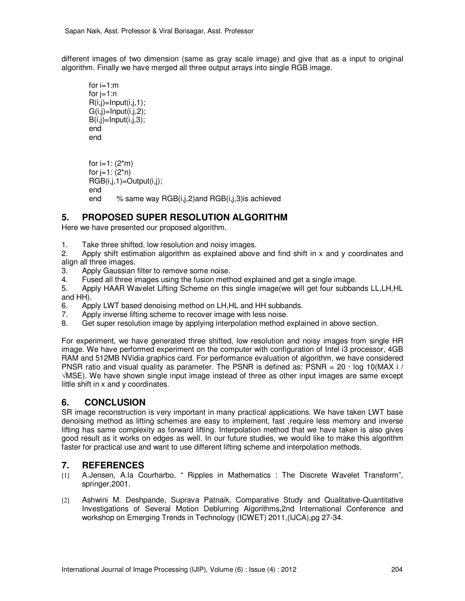different images of two dimension (same as gray scale image) and give that as a input to original algorithm. Finally we have merged all three output arrays into single RGB image.

```
for i=1:mfor i=1:nR(i,j)=Input(i,j,1);G(i,j)=Input(i,j,2);B(i,j)=Input(i,j,3);
end 
end 
for i=1: (2<sup>*</sup>m)for i=1: (2<sup>*</sup>n)RGB(i,j,1)=Output(i,j);end 
end % same way RGB(i,j,2)and RGB(i,j,3)is achieved
```
# **5. PROPOSED SUPER RESOLUTION ALGORITHM**

Here we have presented our proposed algorithm.

- 1. Take three shifted, low resolution and noisy images.
- 2. Apply shift estimation algorithm as explained above and find shift in x and y coordinates and align all three images.
- 3. Apply Gaussian filter to remove some noise.
- 4. Fused all three images using the fusion method explained and get a single image.
- 5. Apply HAAR Wavelet Lifting Scheme on this single image(we will get four subbands LL,LH,HL and HH).
- 6. Apply LWT based denoising method on LH,HL and HH subbands.
- 7. Apply inverse lifting scheme to recover image with less noise.
- 8. Get super resolution image by applying interpolation method explained in above section.

For experiment, we have generated three shifted, low resolution and noisy images from single HR image. We have performed experiment on the computer with configuration of Intel i3 processor, 4GB RAM and 512MB NVidia graphics card. For performance evaluation of algorithm, we have considered PNSR ratio and visual quality as parameter. The PSNR is defined as: PSNR =  $20 \cdot \log 10(MAX i /$ √MSE). We have shown single input image instead of three as other input images are same except little shift in x and y coordinates.

## **6. CONCLUSION**

SR image reconstruction is very important in many practical applications. We have taken LWT base denoising method as lifting schemes are easy to implement, fast ,require less memory and inverse lifting has same complexity as forward lifting. Interpolation method that we have taken is also gives good result as it works on edges as well. In our future studies, we would like to make this algorithm faster for practical use and want to use different lifting scheme and interpolation methods.

## **7. REFERENCES**

- [1] A.Jensen, A.la Courharbo, " Ripples in Mathematics : The Discrete Wavelet Transform", springer,2001.
- [2] Ashwini M. Deshpande, Suprava Patnaik, Comparative Study and Qualitative-Quantitative Investigations of Several Motion Deblurring Algorithms,2nd International Conference and workshop on Emerging Trends in Technology (ICWET) 2011,(IJCA),pg 27-34.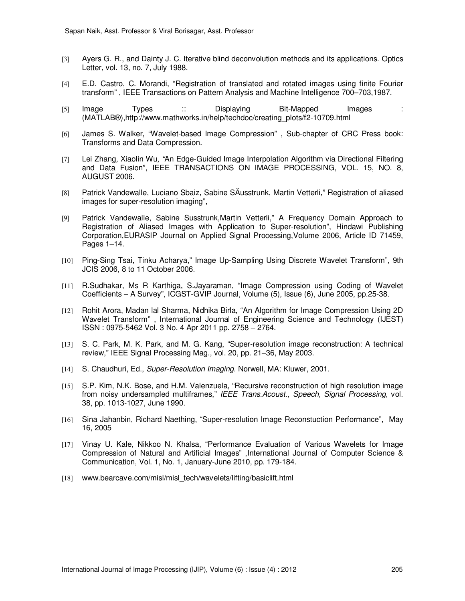- [3] Ayers G. R., and Dainty J. C. Iterative blind deconvolution methods and its applications. Optics Letter, vol. 13, no. 7, July 1988.
- [4] E.D. Castro, C. Morandi, "Registration of translated and rotated images using finite Fourier transform" , IEEE Transactions on Pattern Analysis and Machine Intelligence 700–703,1987.
- [5] Image Types :: Displaying Bit-Mapped Images : (MATLAB®),http://www.mathworks.in/help/techdoc/creating\_plots/f2-10709.html
- [6] James S. Walker, "Wavelet-based Image Compression" , Sub-chapter of CRC Press book: Transforms and Data Compression.
- [7] Lei Zhang, Xiaolin Wu, "An Edge-Guided Image Interpolation Algorithm via Directional Filtering and Data Fusion", IEEE TRANSACTIONS ON IMAGE PROCESSING, VOL. 15, NO. 8, AUGUST 2006.
- [8] Patrick Vandewalle, Luciano Sbaiz, Sabine SÄusstrunk, Martin Vetterli," Registration of aliased images for super-resolution imaging",
- [9] Patrick Vandewalle, Sabine Susstrunk,Martin Vetterli," A Frequency Domain Approach to Registration of Aliased Images with Application to Super-resolution", Hindawi Publishing Corporation,EURASIP Journal on Applied Signal Processing,Volume 2006, Article ID 71459, Pages 1-14.
- [10] Ping-Sing Tsai, Tinku Acharya," Image Up-Sampling Using Discrete Wavelet Transform", 9th JCIS 2006, 8 to 11 October 2006.
- [11] R.Sudhakar, Ms R Karthiga, S.Jayaraman, "Image Compression using Coding of Wavelet Coefficients – A Survey", ICGST-GVIP Journal, Volume (5), Issue (6), June 2005, pp.25-38.
- [12] Rohit Arora, Madan lal Sharma, Nidhika Birla, "An Algorithm for Image Compression Using 2D Wavelet Transform" , International Journal of Engineering Science and Technology (IJEST) ISSN : 0975-5462 Vol. 3 No. 4 Apr 2011 pp. 2758 – 2764.
- [13] S. C. Park, M. K. Park, and M. G. Kang, "Super-resolution image reconstruction: A technical review," IEEE Signal Processing Mag., vol. 20, pp. 21–36, May 2003.
- [14] S. Chaudhuri, Ed., Super-Resolution Imaging. Norwell, MA: Kluwer, 2001.
- [15] S.P. Kim, N.K. Bose, and H.M. Valenzuela, "Recursive reconstruction of high resolution image from noisy undersampled multiframes," IEEE Trans. Acoust., Speech, Signal Processing, vol. 38, pp. 1013-1027, June 1990.
- [16] Sina Jahanbin, Richard Naething, "Super-resolution Image Reconstuction Performance", May 16, 2005
- [17] Vinay U. Kale, Nikkoo N. Khalsa, "Performance Evaluation of Various Wavelets for Image Compression of Natural and Artificial Images" ,International Journal of Computer Science & Communication, Vol. 1, No. 1, January-June 2010, pp. 179-184.
- [18] www.bearcave.com/misl/misl\_tech/wavelets/lifting/basiclift.html